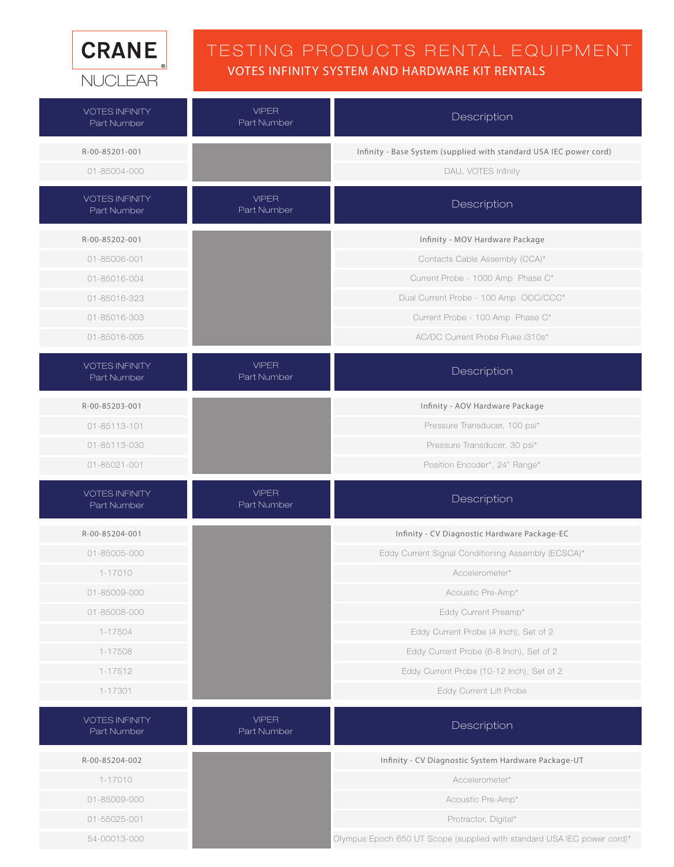

#### TESTING PRODUCTS RENTAL EQUIPMENT VOTES INFINITY SYSTEM AND HARDWARE KIT RENTALS

| <b>VOTES INFINITY</b><br>Part Number | <b>VIPER</b><br>Part Number | Description                                                             |
|--------------------------------------|-----------------------------|-------------------------------------------------------------------------|
| R-00-85201-001                       |                             | Infinity - Base System (supplied with standard USA IEC power cord)      |
| 01-85004-000                         |                             | DAU, VOTES Infinity                                                     |
| <b>VOTES INFINITY</b><br>Part Number | <b>VIPER</b><br>Part Number | Description                                                             |
| R-00-85202-001                       |                             | Infinity - MOV Hardware Package                                         |
| 01-85006-001                         |                             | Contacts Cable Assembly (CCA)*                                          |
| 01-85016-004                         |                             | Current Probe - 1000 Amp Phase C*                                       |
| 01-85016-323                         |                             | Dual Current Probe - 100 Amp OCC/CCC*                                   |
| 01-85016-303                         |                             | Current Probe - 100 Amp Phase C*                                        |
| 01-85016-005                         |                             | AC/DC Current Probe Fluke i310s*                                        |
| <b>VOTES INFINITY</b><br>Part Number | <b>VIPER</b><br>Part Number | Description                                                             |
| R-00-85203-001                       |                             | Infinity - AOV Hardware Package                                         |
| 01-85113-101                         |                             | Pressure Transducer, 100 psi*                                           |
| 01-85113-030                         |                             | Pressure Transducer, 30 psi*                                            |
| 01-85021-001                         |                             | Position Encoder*, 24" Range*                                           |
| <b>VOTES INFINITY</b><br>Part Number | <b>VIPER</b><br>Part Number | Description                                                             |
| R-00-85204-001                       |                             | Infinity - CV Diagnostic Hardware Package-EC                            |
| 01-85005-000                         |                             | Eddy Current Signal Conditioning Assembly (ECSCA)*                      |
| $1 - 17010$                          |                             | Accelerometer*                                                          |
| 01-85009-000                         |                             | Acoustic Pre-Amp*                                                       |
| 01-85008-000                         |                             | Eddy Current Preamp*                                                    |
| 1-17504                              |                             | Eddy Current Probe (4 Inch), Set of 2                                   |
| 1-17508                              |                             | Eddy Current Probe (6-8 Inch), Set of 2                                 |
| 1-17512                              |                             | Eddy Current Probe (10-12 Inch), Set of 2                               |
| 1-17301                              |                             | Eddy Current Lift Probe                                                 |
| <b>VOTES INFINITY</b><br>Part Number | <b>VIPER</b><br>Part Number | Description                                                             |
| R-00-85204-002                       |                             | Infinity - CV Diagnostic System Hardware Package-UT                     |
| $1 - 17010$                          |                             | Accelerometer*                                                          |
| 01-85009-000                         |                             | Acoustic Pre-Amp*                                                       |
| 01-55025-001                         |                             | Protractor, Digital*                                                    |
| 54-00013-000                         |                             | Olympus Epoch 650 UT Scope (supplied with standard USA IEC power cord)* |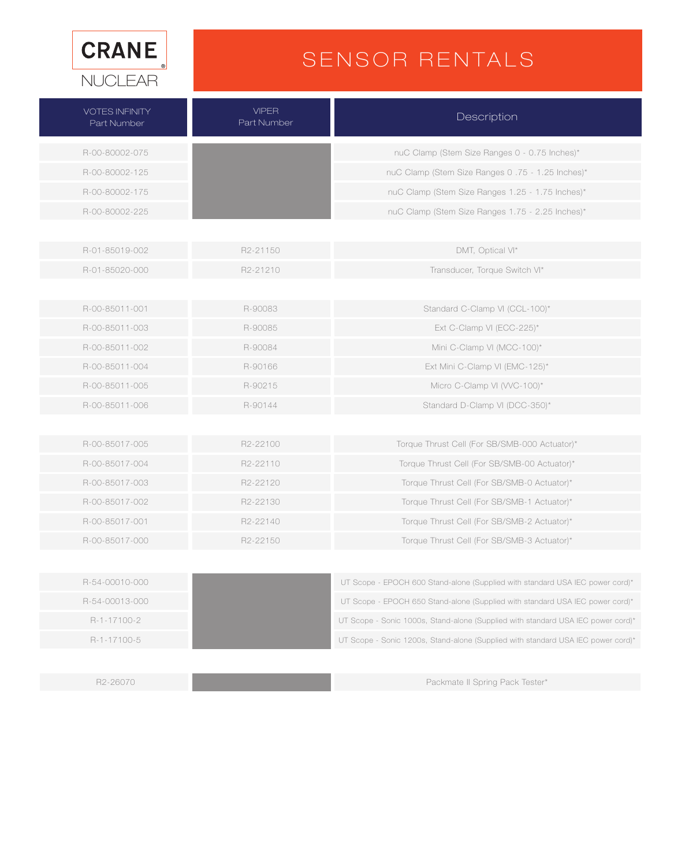

# SENSOR RENTALS

| <b>VOTES INFINITY</b><br>Part Number | <b>VIPER</b><br>Part Number | Description                                                                      |
|--------------------------------------|-----------------------------|----------------------------------------------------------------------------------|
| R-00-80002-075                       |                             | nuC Clamp (Stem Size Ranges 0 - 0.75 Inches)*                                    |
| R-00-80002-125                       |                             | nuC Clamp (Stem Size Ranges 0.75 - 1.25 Inches)*                                 |
| R-00-80002-175                       |                             | nuC Clamp (Stem Size Ranges 1.25 - 1.75 Inches)*                                 |
| R-00-80002-225                       |                             | nuC Clamp (Stem Size Ranges 1.75 - 2.25 Inches)*                                 |
|                                      |                             |                                                                                  |
| R-01-85019-002                       | R2-21150                    | DMT, Optical VI*                                                                 |
| R-01-85020-000                       | R2-21210                    | Transducer, Torque Switch VI*                                                    |
|                                      |                             |                                                                                  |
| R-00-85011-001                       | R-90083                     | Standard C-Clamp VI (CCL-100)*                                                   |
| R-00-85011-003                       | R-90085                     | Ext C-Clamp VI (ECC-225)*                                                        |
| R-00-85011-002                       | R-90084                     | Mini C-Clamp VI (MCC-100)*                                                       |
| R-00-85011-004                       | R-90166                     | Ext Mini C-Clamp VI (EMC-125)*                                                   |
| R-00-85011-005                       | R-90215                     | Micro C-Clamp VI (WC-100)*                                                       |
| R-00-85011-006                       | R-90144                     | Standard D-Clamp VI (DCC-350)*                                                   |
|                                      |                             |                                                                                  |
| R-00-85017-005                       | R2-22100                    | Torque Thrust Cell (For SB/SMB-000 Actuator)*                                    |
| R-00-85017-004                       | R2-22110                    | Torque Thrust Cell (For SB/SMB-00 Actuator)*                                     |
| R-00-85017-003                       | R2-22120                    | Torque Thrust Cell (For SB/SMB-0 Actuator)*                                      |
| R-00-85017-002                       | R2-22130                    | Torque Thrust Cell (For SB/SMB-1 Actuator)*                                      |
| R-00-85017-001                       | R2-22140                    | Torque Thrust Cell (For SB/SMB-2 Actuator)*                                      |
| R-00-85017-000                       | R <sub>2</sub> -22150       | Torque Thrust Cell (For SB/SMB-3 Actuator)*                                      |
|                                      |                             |                                                                                  |
| R-54-00010-000                       |                             | UT Scope - EPOCH 600 Stand-alone (Supplied with standard USA IEC power cord)*    |
| R-54-00013-000                       |                             | UT Scope - EPOCH 650 Stand-alone (Supplied with standard USA IEC power cord)*    |
| R-1-17100-2                          |                             | UT Scope - Sonic 1000s, Stand-alone (Supplied with standard USA IEC power cord)* |
| R-1-17100-5                          |                             | UT Scope - Sonic 1200s, Stand-alone (Supplied with standard USA IEC power cord)* |
|                                      |                             |                                                                                  |

R2-26070 Packmate II Spring Pack Tester\*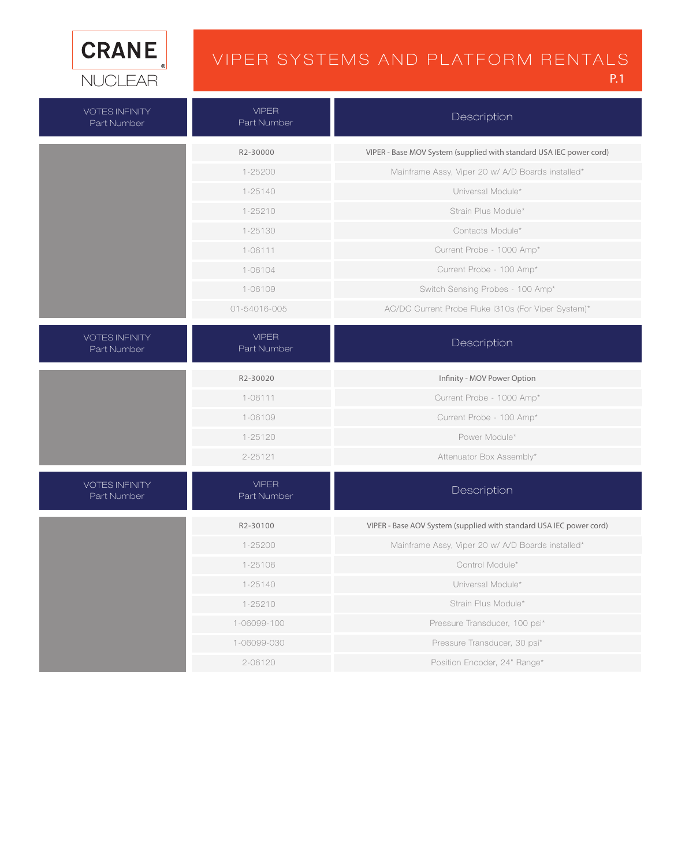

### VIPER SYSTEMS AND PLATFORM RENTALS

P.1

| <b>VOTES INFINITY</b><br>Part Number | <b>VIPER</b><br>Part Number | Description                                                         |
|--------------------------------------|-----------------------------|---------------------------------------------------------------------|
|                                      | R2-30000                    | VIPER - Base MOV System (supplied with standard USA IEC power cord) |
|                                      | 1-25200                     | Mainframe Assy, Viper 20 w/ A/D Boards installed*                   |
|                                      | $1 - 25140$                 | Universal Module*                                                   |
|                                      | $1 - 25210$                 | Strain Plus Module*                                                 |
|                                      | 1-25130                     | Contacts Module*                                                    |
|                                      | $1 - 06111$                 | Current Probe - 1000 Amp*                                           |
|                                      | 1-06104                     | Current Probe - 100 Amp*                                            |
|                                      | 1-06109                     | Switch Sensing Probes - 100 Amp*                                    |
|                                      | 01-54016-005                | AC/DC Current Probe Fluke i310s (For Viper System)*                 |
| <b>VOTES INFINITY</b><br>Part Number | <b>VIPER</b><br>Part Number | Description                                                         |
|                                      | R2-30020                    | Infinity - MOV Power Option                                         |
|                                      | $1 - 06111$                 | Current Probe - 1000 Amp*                                           |
|                                      | 1-06109                     | Current Probe - 100 Amp*                                            |
|                                      | $1 - 25120$                 | Power Module*                                                       |
|                                      | 2-25121                     | Attenuator Box Assembly*                                            |
| <b>VOTES INFINITY</b><br>Part Number | <b>VIPER</b><br>Part Number | Description                                                         |
|                                      | R2-30100                    | VIPER - Base AOV System (supplied with standard USA IEC power cord) |
|                                      | $1 - 25200$                 | Mainframe Assy, Viper 20 w/ A/D Boards installed*                   |
|                                      | 1-25106                     | Control Module*                                                     |
|                                      | $1 - 25140$                 | Universal Module*                                                   |
|                                      | $1 - 25210$                 | Strain Plus Module*                                                 |
|                                      | 1-06099-100                 | Pressure Transducer, 100 psi*                                       |
|                                      | 1-06099-030                 | Pressure Transducer, 30 psi*                                        |
|                                      | 2-06120                     | Position Encoder, 24" Range*                                        |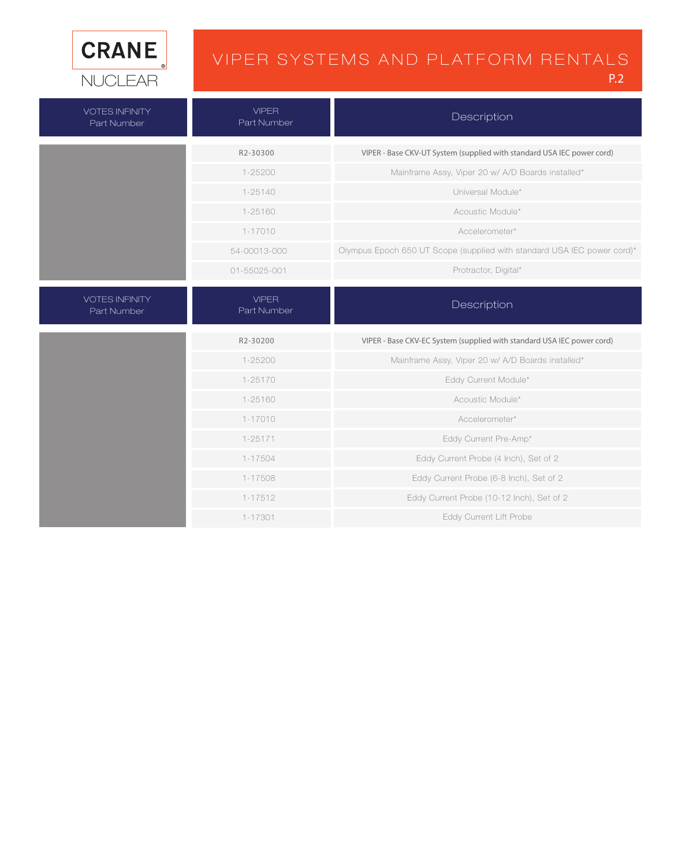

### VIPER SYSTEMS AND PLATFORM RENTALS

P.2

| <b>VOTES INFINITY</b><br>Part Number | <b>VIPER</b><br>Part Number | Description                                                             |
|--------------------------------------|-----------------------------|-------------------------------------------------------------------------|
|                                      | R2-30300                    | VIPER - Base CKV-UT System (supplied with standard USA IEC power cord)  |
|                                      | 1-25200                     | Mainframe Assy, Viper 20 w/ A/D Boards installed*                       |
|                                      | $1 - 25140$                 | Universal Module*                                                       |
|                                      | 1-25160                     | Acoustic Module*                                                        |
|                                      | $1 - 17010$                 | Accelerometer*                                                          |
|                                      | 54-00013-000                | Olympus Epoch 650 UT Scope (supplied with standard USA IEC power cord)* |
|                                      | 01-55025-001                | Protractor, Digital*                                                    |
| <b>VOTES INFINITY</b><br>Part Number | <b>VIPER</b><br>Part Number | Description                                                             |
|                                      | R2-30200                    | VIPER - Base CKV-EC System (supplied with standard USA IEC power cord)  |
|                                      | $1 - 25200$                 | Mainframe Assy, Viper 20 w/ A/D Boards installed*                       |
|                                      | 1-25170                     | Eddy Current Module*                                                    |
|                                      |                             |                                                                         |
|                                      | 1-25160                     | Acoustic Module*                                                        |
|                                      | $1 - 17010$                 | Accelerometer*                                                          |
|                                      | $1 - 25171$                 | Eddy Current Pre-Amp*                                                   |
|                                      | 1-17504                     | Eddy Current Probe (4 Inch), Set of 2                                   |
|                                      | 1-17508                     | Eddy Current Probe (6-8 Inch), Set of 2                                 |
|                                      | 1-17512                     | Eddy Current Probe (10-12 Inch), Set of 2                               |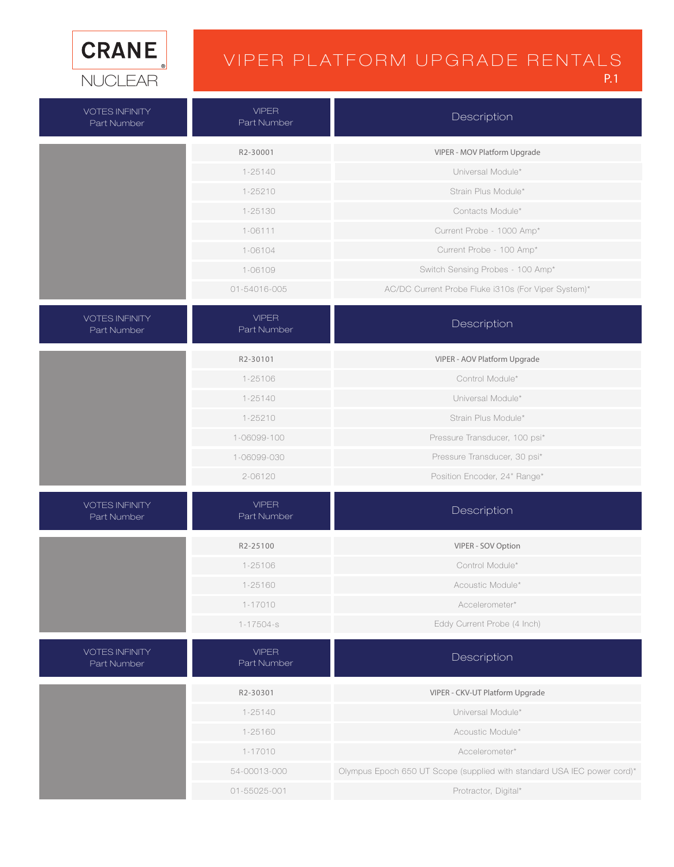

## VIPER PLATFORM UPGRADE RENTALS

| <b>VOTES INFINITY</b><br>Part Number | <b>VIPFR</b><br>Part Number | Description                                                             |
|--------------------------------------|-----------------------------|-------------------------------------------------------------------------|
|                                      | R2-30001                    | VIPER - MOV Platform Upgrade                                            |
|                                      | 1-25140                     | Universal Module*                                                       |
|                                      | $1 - 25210$                 | Strain Plus Module*                                                     |
|                                      | 1-25130                     | Contacts Module*                                                        |
|                                      | $1 - 06111$                 | Current Probe - 1000 Amp*                                               |
|                                      | 1-06104                     | Current Probe - 100 Amp*                                                |
|                                      | 1-06109                     | Switch Sensing Probes - 100 Amp*                                        |
|                                      | 01-54016-005                | AC/DC Current Probe Fluke i310s (For Viper System)*                     |
| <b>VOTES INFINITY</b><br>Part Number | <b>VIPER</b><br>Part Number | Description                                                             |
|                                      | R2-30101                    | VIPER - AOV Platform Upgrade                                            |
|                                      | 1-25106                     | Control Module*                                                         |
|                                      | $1 - 25140$                 | Universal Module*                                                       |
|                                      | $1 - 25210$                 | Strain Plus Module*                                                     |
|                                      | 1-06099-100                 | Pressure Transducer, 100 psi*                                           |
|                                      | 1-06099-030                 | Pressure Transducer, 30 psi*                                            |
|                                      | 2-06120                     | Position Encoder, 24" Range*                                            |
| <b>VOTES INFINITY</b><br>Part Number | <b>VIPER</b><br>Part Number | Description                                                             |
|                                      | R2-25100                    | VIPER - SOV Option                                                      |
|                                      | 1-25106                     | Control Module*                                                         |
|                                      | 1-25160                     | Acoustic Module*                                                        |
|                                      | $1 - 17010$                 | Accelerometer*                                                          |
|                                      | $1 - 17504 - s$             | Eddy Current Probe (4 Inch)                                             |
| <b>VOTES INFINITY</b><br>Part Number | <b>VIPER</b><br>Part Number | Description                                                             |
|                                      | R2-30301                    | VIPER - CKV-UT Platform Upgrade                                         |
|                                      | $1 - 25140$                 | Universal Module*                                                       |
|                                      | 1-25160                     | Acoustic Module*                                                        |
|                                      | $1 - 17010$                 | Accelerometer*                                                          |
|                                      | 54-00013-000                | Olympus Epoch 650 UT Scope (supplied with standard USA IEC power cord)* |
|                                      | 01-55025-001                | Protractor, Digital*                                                    |